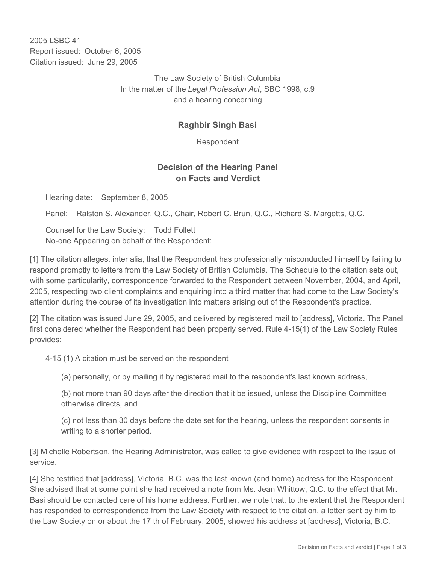2005 LSBC 41 Report issued: October 6, 2005 Citation issued: June 29, 2005

> The Law Society of British Columbia In the matter of the *Legal Profession Act*, SBC 1998, c.9 and a hearing concerning

## **Raghbir Singh Basi**

Respondent

## **Decision of the Hearing Panel on Facts and Verdict**

Hearing date: September 8, 2005

Panel: Ralston S. Alexander, Q.C., Chair, Robert C. Brun, Q.C., Richard S. Margetts, Q.C.

Counsel for the Law Society: Todd Follett No-one Appearing on behalf of the Respondent:

[1] The citation alleges, inter alia, that the Respondent has professionally misconducted himself by failing to respond promptly to letters from the Law Society of British Columbia. The Schedule to the citation sets out, with some particularity, correspondence forwarded to the Respondent between November, 2004, and April, 2005, respecting two client complaints and enquiring into a third matter that had come to the Law Society's attention during the course of its investigation into matters arising out of the Respondent's practice.

[2] The citation was issued June 29, 2005, and delivered by registered mail to [address], Victoria. The Panel first considered whether the Respondent had been properly served. Rule 4-15(1) of the Law Society Rules provides:

4-15 (1) A citation must be served on the respondent

(a) personally, or by mailing it by registered mail to the respondent's last known address,

(b) not more than 90 days after the direction that it be issued, unless the Discipline Committee otherwise directs, and

(c) not less than 30 days before the date set for the hearing, unless the respondent consents in writing to a shorter period.

[3] Michelle Robertson, the Hearing Administrator, was called to give evidence with respect to the issue of service.

[4] She testified that [address], Victoria, B.C. was the last known (and home) address for the Respondent. She advised that at some point she had received a note from Ms. Jean Whittow, Q.C. to the effect that Mr. Basi should be contacted care of his home address. Further, we note that, to the extent that the Respondent has responded to correspondence from the Law Society with respect to the citation, a letter sent by him to the Law Society on or about the 17 th of February, 2005, showed his address at [address], Victoria, B.C.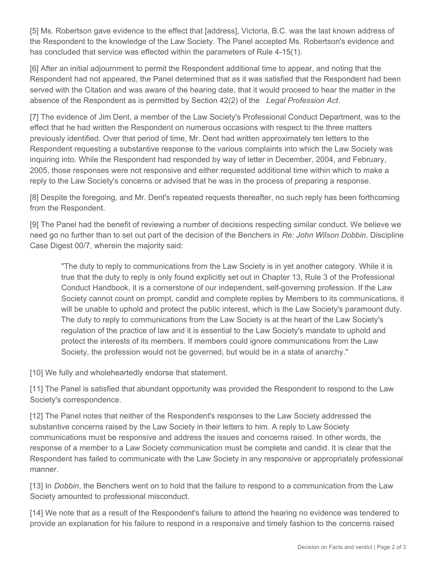[5] Ms. Robertson gave evidence to the effect that [address], Victoria, B.C. was the last known address of the Respondent to the knowledge of the Law Society. The Panel accepted Ms. Robertson's evidence and has concluded that service was effected within the parameters of Rule 4-15(1).

[6] After an initial adjournment to permit the Respondent additional time to appear, and noting that the Respondent had not appeared, the Panel determined that as it was satisfied that the Respondent had been served with the Citation and was aware of the hearing date, that it would proceed to hear the matter in the absence of the Respondent as is permitted by Section 42(2) of the *Legal Profession Act*.

[7] The evidence of Jim Dent, a member of the Law Society's Professional Conduct Department, was to the effect that he had written the Respondent on numerous occasions with respect to the three matters previously identified. Over that period of time, Mr. Dent had written approximately ten letters to the Respondent requesting a substantive response to the various complaints into which the Law Society was inquiring into. While the Respondent had responded by way of letter in December, 2004, and February, 2005, those responses were not responsive and either requested additional time within which to make a reply to the Law Society's concerns or advised that he was in the process of preparing a response.

[8] Despite the foregoing, and Mr. Dent's repeated requests thereafter, no such reply has been forthcoming from the Respondent.

[9] The Panel had the benefit of reviewing a number of decisions respecting similar conduct. We believe we need go no further than to set out part of the decision of the Benchers in *Re: John Wilson Dobbin*, Discipline Case Digest 00/7, wherein the majority said:

"The duty to reply to communications from the Law Society is in yet another category. While it is true that the duty to reply is only found explicitly set out in Chapter 13, Rule 3 of the Professional Conduct Handbook, it is a cornerstone of our independent, self-governing profession. If the Law Society cannot count on prompt, candid and complete replies by Members to its communications, it will be unable to uphold and protect the public interest, which is the Law Society's paramount duty. The duty to reply to communications from the Law Society is at the heart of the Law Society's regulation of the practice of law and it is essential to the Law Society's mandate to uphold and protect the interests of its members. If members could ignore communications from the Law Society, the profession would not be governed, but would be in a state of anarchy."

[10] We fully and wholeheartedly endorse that statement.

[11] The Panel is satisfied that abundant opportunity was provided the Respondent to respond to the Law Society's correspondence.

[12] The Panel notes that neither of the Respondent's responses to the Law Society addressed the substantive concerns raised by the Law Society in their letters to him. A reply to Law Society communications must be responsive and address the issues and concerns raised. In other words, the response of a member to a Law Society communication must be complete and candid. It is clear that the Respondent has failed to communicate with the Law Society in any responsive or appropriately professional manner.

[13] In *Dobbin*, the Benchers went on to hold that the failure to respond to a communication from the Law Society amounted to professional misconduct.

[14] We note that as a result of the Respondent's failure to attend the hearing no evidence was tendered to provide an explanation for his failure to respond in a responsive and timely fashion to the concerns raised